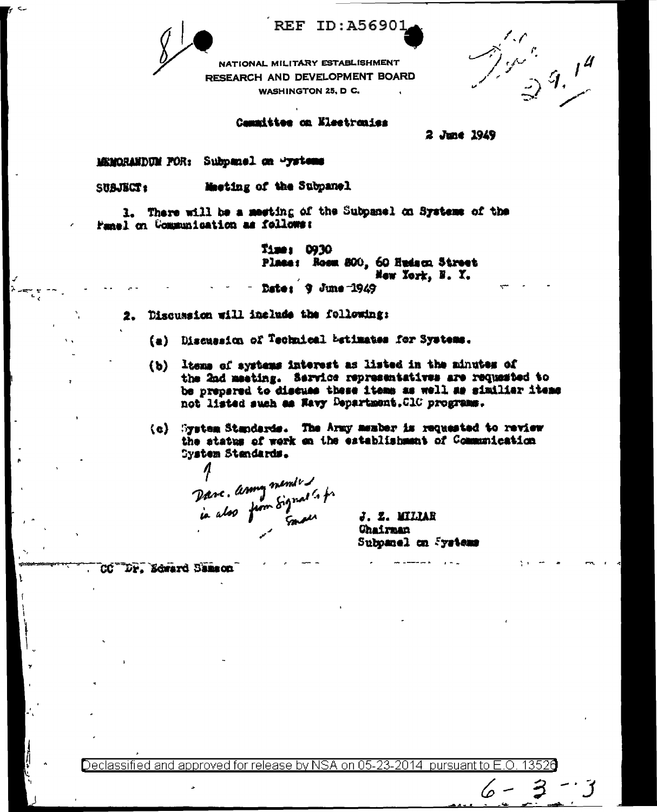**REF ID:A56901** 

NATIONAL MILITARY ESTABLISHMENT RESEARCH AND DEVELOPMENT BOARD **WASHINGTON 25, D C.** 

 $\frac{\omega^2}{\mathbb{D}}\mathcal{G}_\psi$ 

## Cammittee on Kleetronies

2 June 1949

MEMORANDUM FOR: Subpanel on "ystems

Macting of the Subpanel SUBJECT:

1. There will be a meeting of the Subpanel on Systems of the Panel on Communication as follows:

> Time: 0930 Place: Room 800, 60 Hudson Street Mew York, N. Y. Date: 9 June 1949

- Discussion will include the following: 2.
	- (a) Discussion of Technical betimates for Systems.
	- ltems of systems interest as listed in the minutes of  $(b)$ the 2nd meeting. Service representatives are requested to be prepared to discuss these items as well as similiar items not listed such as Nevy Department. ClC programs.
	- System Standards. The Army member is requested to review  $\{c\}$ the status of work on the establishment of Communication System Standards.

Dave. Army members of

J. Z. WILLAR **Chairnan** Subpanel on Systems

(p

DP, Edward Samson ĈĆ

Declassified and approved for release by NSA on 05-23-2014 pursuant to E.O. 13526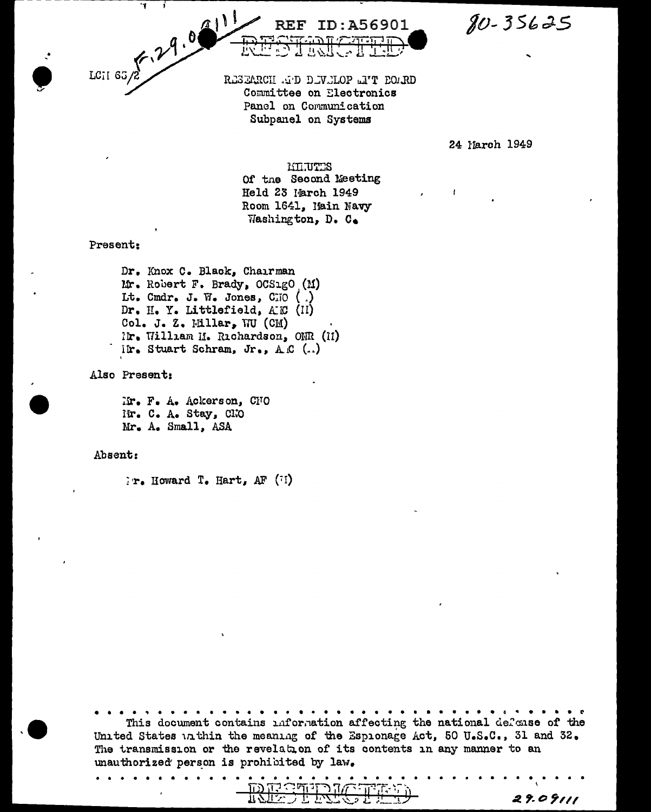$80 - 35625$ 

LCII 65/2 29.00 RESEARCH AP DEVELOP ENT BOARD Committee on Electronics Panel on Communication Subpanel on Systems

**REF ID:A56901** 

24 March 1949

29.09111

MITTES Of the Second Meeting Held 23 March 1949 Room 1641, Hain Navy Washington, D. C.

Present:

Dr. Knox C. Black, Chairman Mr. Robert F. Brady, OCS1gO (M) Lt. Cmdr. J. W. Jones, CIO () Dr. H. Y. Littlefield, AEC (II) Col. J. Z. Millar, WU (CM) Mr. William M. Richardson, OMR (II) ilr. Stuart Schram, Jr., A.C  $(.)$ 

Also Present:

Mr. F. A. Ackerson, CNO Mr. C. A. Stay, CNO Mr. A. Small, ASA

Absent:

 $i \cdot r$ . Howard  $T$ . Hart, AF  $(i)$ 

This document contains information affecting the national defense of the United States unthin the meaning of the Espionage Act, 50 U.S.C., 31 and 32. The transmission or the revelation of its contents in any manner to an unauthorized person is prohibited by law.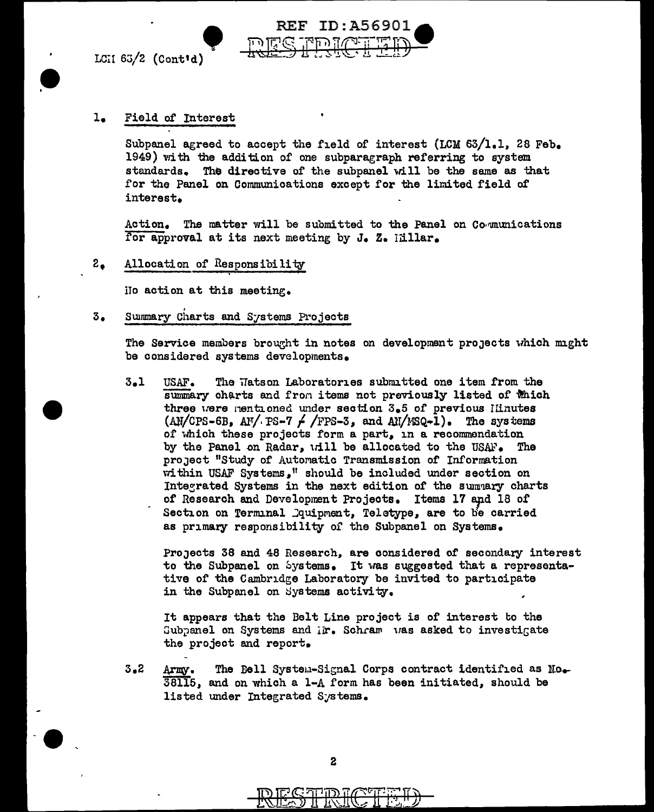LCII  $63/2$  (Cont'd)



## Field of Interest l.

Subpanel agreed to accept the field of interest (LCM  $63/1.1$ , 28 Feb. 1949) with the addition of one subparagraph referring to system standards. The directive of the subpanel will be the same as that for the Panel on Communications except for the limited field of interest.

The matter will be submitted to the Panel on Communications Action. for approval at its next meeting by J. Z. Idllar.

## $2<sub>•</sub>$ Allocation of Responsibility

No action at this meeting.

## Summary Charts and Systems Projects  $3.$

The Service members brought in notes on development projects which might be considered systems developments.

 $3.1$ The Hatson Laboratories submitted one item from the USAF. summary charts and from items not previously listed of Which three were mentioned under section  $3.5$  of previous linutes  $(AM/CPS-6B, A N/PS-7$  /  $/FS-3$ , and  $AI/NSQ-1$ ). The systems of which these projects form a part, in a recommendation by the Panel on Radar, will be allocated to the USAF. project "Study of Automatic Transmission of Information within USAF Systems," should be included under section on Integrated Systems in the next edition of the summary charts of Research and Development Projects. Items 17 and 18 of Section on Terminal Dquipment, Teletype, are to be carried as primary responsibility of the Subpanel on Systems.

Projects 38 and 48 Research, are considered of secondary interest to the Subpanel on Systems. It was suggested that a representative of the Cambridge Laboratory be invited to participate in the Subpanel on Systems activity.

It appears that the Belt Line project is of interest to the Subpanel on Systems and ir. Schram was asked to investigate the project and report.

 $3.2$ The Bell System-Signal Corps contract identified as No. Army. 38115, and on which a 1-A form has been initiated, should be listed under Integrated Systems.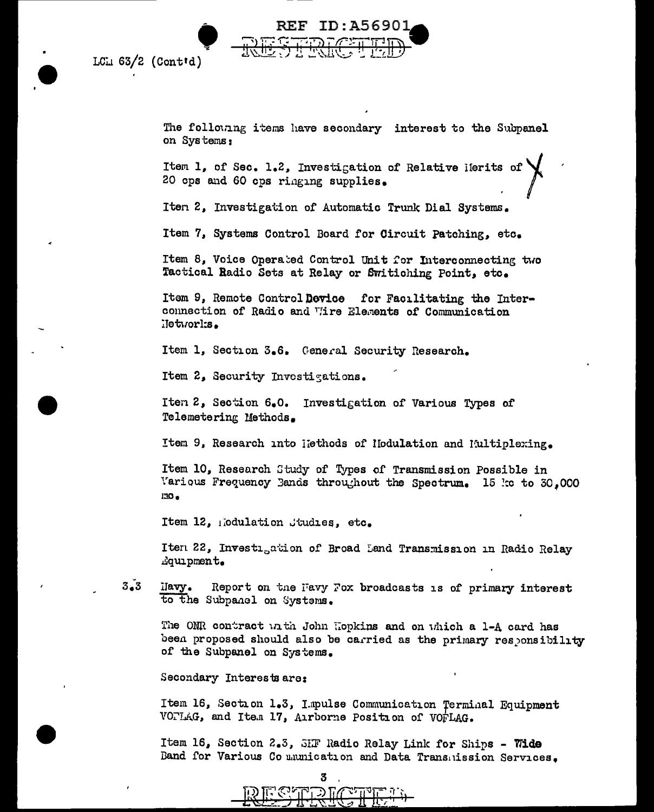



The following items have secondary interest to the Subpanel on Systems:

Item 1, of Sec. 1.2, Investigation of Relative Herits of 20 cps and 60 cps ringing supplies.

Iten 2, Investigation of Automatic Trunk Dial Systems.

Item 7, Systems Control Board for Circuit Patching, etc.

Item 8, Voice Operated Control Unit for Interconnecting two Tactical Radio Sets at Relay or Switiching Point, etc.

Item 9, Remote Control Device for Facilitating the Interconnection of Radio and Vire Elements of Communication .Jetworks.

Item 1, Section 3.6. General Security Research.

Item 2, Security Investigations.

Iten 2, Section 6.0. Investigation of Various Types of Telemetering Methods.

Item 9, Research into liethods of Hodulation and Multiplexing.

Item 10, Research Study of Types of Transmission Possible in Various Frequency Bands throughout the Spectrum. 15 kc to 30,000  $130<sub>0</sub>$ 

Item 12, nodulation Studies, etc.

Iten 22, Investigation of Broad Land Transmission in Radio Relay dquipment.

 $3\ddot{\bullet}3$ ilavy. Report on the Favy Fox broadcasts is of primary interest to the Subpanel on Systems.

The ONR contract with John Hopkins and on which a 1-A card has been proposed should also be carried as the primary responsibility of the Subpanel on Systems.

Secondary Interests are:

Item 16, Section 1.3, Impulse Communication Terminal Equipment VOTLAG, and Item 17, Airborne Position of VOFLAG.

Item 16, Section 2.3, SHF Radio Relay Link for Ships - Wide Band for Various Communication and Data Transmission Services.